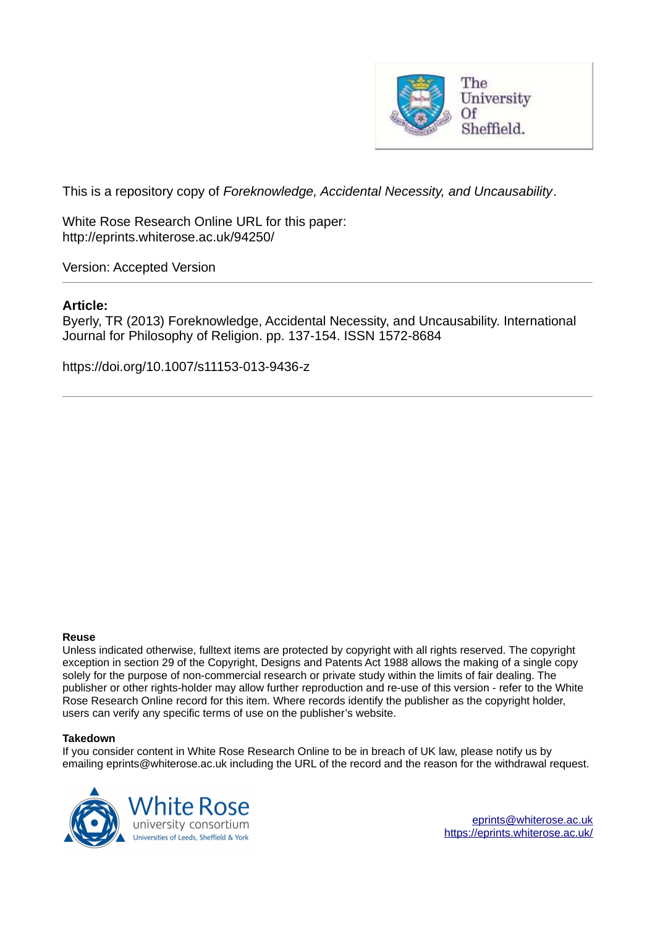

This is a repository copy of *Foreknowledge, Accidental Necessity, and Uncausability*.

White Rose Research Online URL for this paper: http://eprints.whiterose.ac.uk/94250/

Version: Accepted Version

# **Article:**

Byerly, TR (2013) Foreknowledge, Accidental Necessity, and Uncausability. International Journal for Philosophy of Religion. pp. 137-154. ISSN 1572-8684

https://doi.org/10.1007/s11153-013-9436-z

#### **Reuse**

Unless indicated otherwise, fulltext items are protected by copyright with all rights reserved. The copyright exception in section 29 of the Copyright, Designs and Patents Act 1988 allows the making of a single copy solely for the purpose of non-commercial research or private study within the limits of fair dealing. The publisher or other rights-holder may allow further reproduction and re-use of this version - refer to the White Rose Research Online record for this item. Where records identify the publisher as the copyright holder, users can verify any specific terms of use on the publisher's website.

#### **Takedown**

If you consider content in White Rose Research Online to be in breach of UK law, please notify us by emailing eprints@whiterose.ac.uk including the URL of the record and the reason for the withdrawal request.



[eprints@whiterose.ac.uk](mailto:eprints@whiterose.ac.uk) <https://eprints.whiterose.ac.uk/>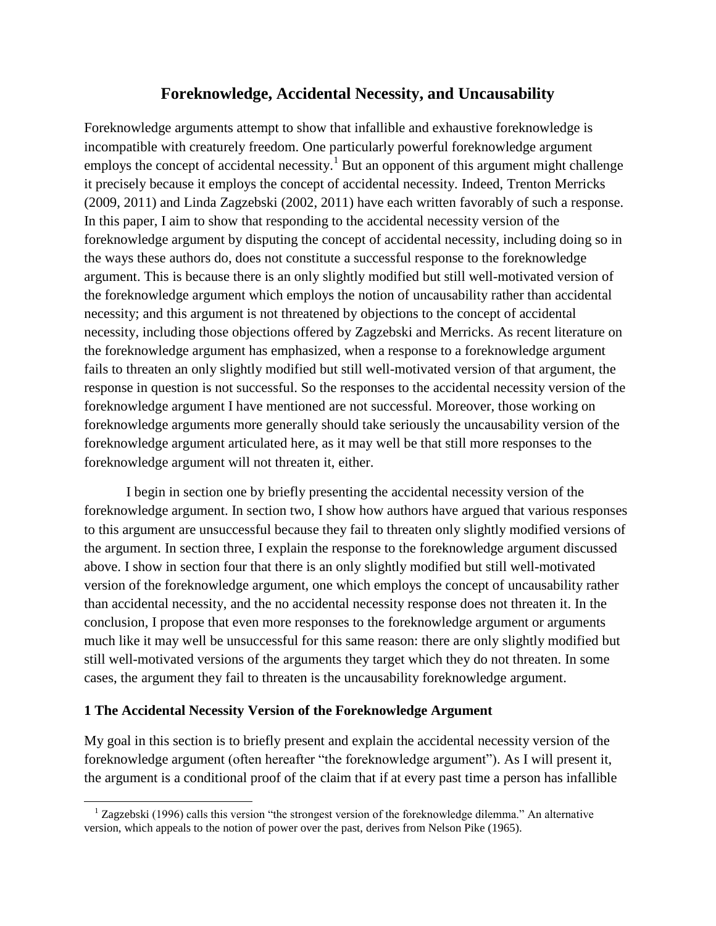# **Foreknowledge, Accidental Necessity, and Uncausability**

Foreknowledge arguments attempt to show that infallible and exhaustive foreknowledge is incompatible with creaturely freedom. One particularly powerful foreknowledge argument employs the concept of accidental necessity.<sup>1</sup> But an opponent of this argument might challenge it precisely because it employs the concept of accidental necessity. Indeed, Trenton Merricks (2009, 2011) and Linda Zagzebski (2002, 2011) have each written favorably of such a response. In this paper, I aim to show that responding to the accidental necessity version of the foreknowledge argument by disputing the concept of accidental necessity, including doing so in the ways these authors do, does not constitute a successful response to the foreknowledge argument. This is because there is an only slightly modified but still well-motivated version of the foreknowledge argument which employs the notion of uncausability rather than accidental necessity; and this argument is not threatened by objections to the concept of accidental necessity, including those objections offered by Zagzebski and Merricks. As recent literature on the foreknowledge argument has emphasized, when a response to a foreknowledge argument fails to threaten an only slightly modified but still well-motivated version of that argument, the response in question is not successful. So the responses to the accidental necessity version of the foreknowledge argument I have mentioned are not successful. Moreover, those working on foreknowledge arguments more generally should take seriously the uncausability version of the foreknowledge argument articulated here, as it may well be that still more responses to the foreknowledge argument will not threaten it, either.

 I begin in section one by briefly presenting the accidental necessity version of the foreknowledge argument. In section two, I show how authors have argued that various responses to this argument are unsuccessful because they fail to threaten only slightly modified versions of the argument. In section three, I explain the response to the foreknowledge argument discussed above. I show in section four that there is an only slightly modified but still well-motivated version of the foreknowledge argument, one which employs the concept of uncausability rather than accidental necessity, and the no accidental necessity response does not threaten it. In the conclusion, I propose that even more responses to the foreknowledge argument or arguments much like it may well be unsuccessful for this same reason: there are only slightly modified but still well-motivated versions of the arguments they target which they do not threaten. In some cases, the argument they fail to threaten is the uncausability foreknowledge argument.

## **1 The Accidental Necessity Version of the Foreknowledge Argument**

l

My goal in this section is to briefly present and explain the accidental necessity version of the foreknowledge argument (often hereafter "the foreknowledge argument"). As I will present it, the argument is a conditional proof of the claim that if at every past time a person has infallible

 $1$  Zagzebski (1996) calls this version "the strongest version of the foreknowledge dilemma." An alternative version, which appeals to the notion of power over the past, derives from Nelson Pike (1965).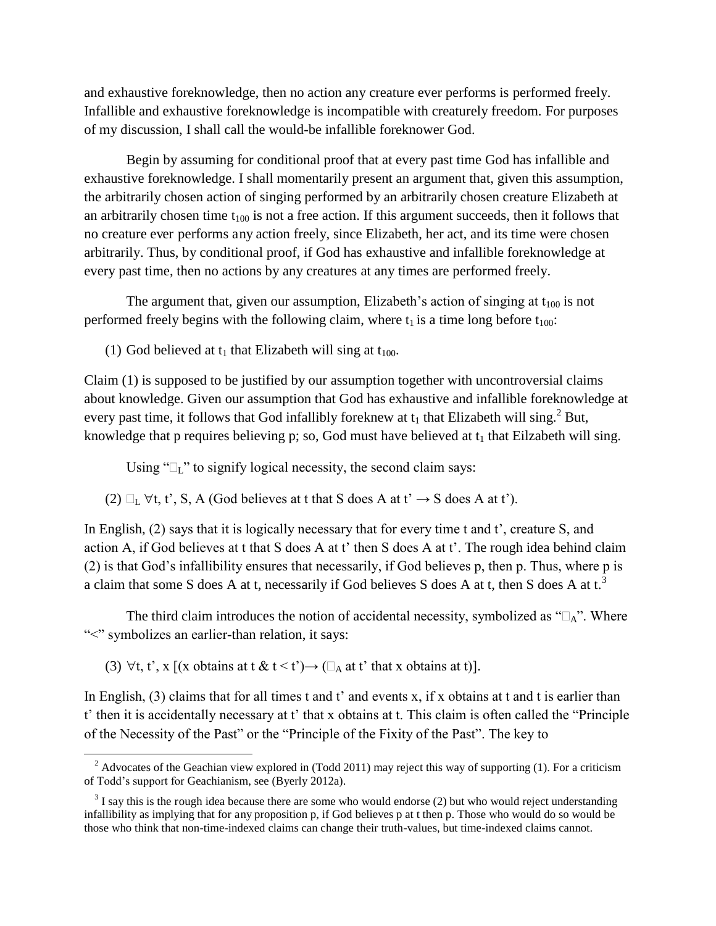and exhaustive foreknowledge, then no action any creature ever performs is performed freely. Infallible and exhaustive foreknowledge is incompatible with creaturely freedom. For purposes of my discussion, I shall call the would-be infallible foreknower God.

 Begin by assuming for conditional proof that at every past time God has infallible and exhaustive foreknowledge. I shall momentarily present an argument that, given this assumption, the arbitrarily chosen action of singing performed by an arbitrarily chosen creature Elizabeth at an arbitrarily chosen time  $t_{100}$  is not a free action. If this argument succeeds, then it follows that no creature ever performs any action freely, since Elizabeth, her act, and its time were chosen arbitrarily. Thus, by conditional proof, if God has exhaustive and infallible foreknowledge at every past time, then no actions by any creatures at any times are performed freely.

The argument that, given our assumption, Elizabeth's action of singing at  $t_{100}$  is not performed freely begins with the following claim, where  $t_1$  is a time long before  $t_{100}$ :

(1) God believed at  $t_1$  that Elizabeth will sing at  $t_{100}$ .

Claim (1) is supposed to be justified by our assumption together with uncontroversial claims about knowledge. Given our assumption that God has exhaustive and infallible foreknowledge at every past time, it follows that God infallibly foreknew at  $t_1$  that Elizabeth will sing.<sup>2</sup> But, knowledge that p requires believing p; so, God must have believed at  $t_1$  that Eilzabeth will sing.

Using " $L$ " to signify logical necessity, the second claim says:

(2)  $\Box_L \forall t, t', S, A$  (God believes at t that S does A at t'  $\rightarrow$  S does A at t').

In English, (2) says that it is logically necessary that for every time t and t', creature S, and action A, if God believes at t that S does A at t' then S does A at t'. The rough idea behind claim (2) is that God's infallibility ensures that necessarily, if God believes p, then p. Thus, where p is a claim that some S does A at t, necessarily if God believes S does A at t, then S does A at t.<sup>3</sup>

The third claim introduces the notion of accidental necessity, symbolized as " $\Box_A$ ". Where ">" symbolizes an earlier-than relation, it says:

(3)  $\forall$ t, t', x [(x obtains at t & t < t')  $\rightarrow$  ( $\Box$ <sub>A</sub> at t' that x obtains at t)].

l

In English, (3) claims that for all times t and t' and events x, if x obtains at t and t is earlier than t' then it is accidentally necessary at t' that x obtains at t. This claim is often called the "Principle of the Necessity of the Past" or the "Principle of the Fixity of the Past". The key to

<sup>&</sup>lt;sup>2</sup> Advocates of the Geachian view explored in (Todd 2011) may reject this way of supporting (1). For a criticism of Todd's support for Geachianism, see (Byerly 2012a).

 $3$  I say this is the rough idea because there are some who would endorse (2) but who would reject understanding infallibility as implying that for any proposition p, if God believes p at t then p. Those who would do so would be those who think that non-time-indexed claims can change their truth-values, but time-indexed claims cannot.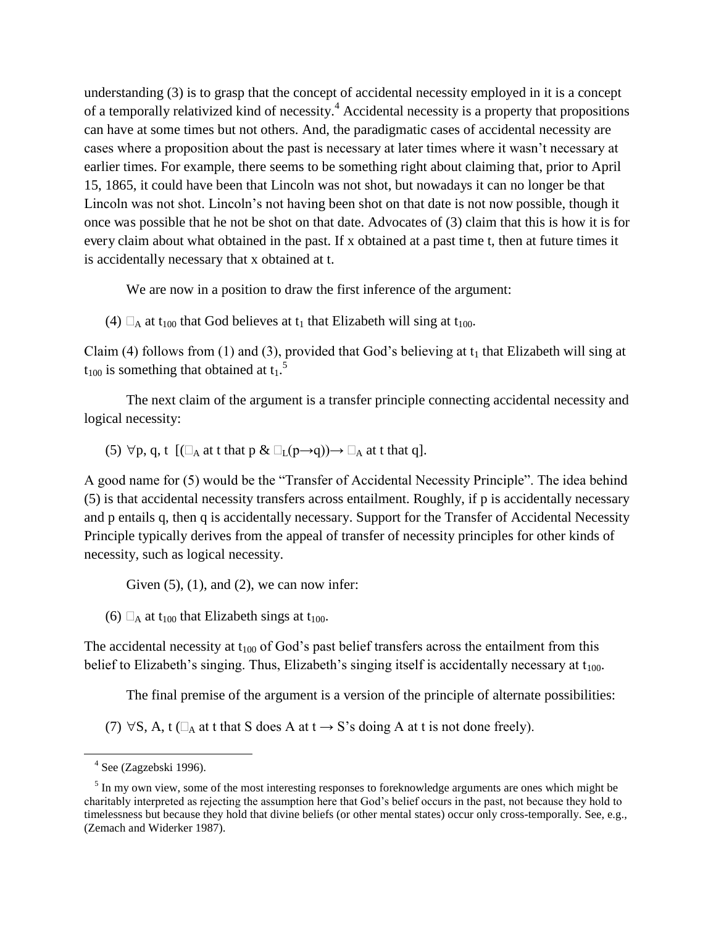understanding (3) is to grasp that the concept of accidental necessity employed in it is a concept of a temporally relativized kind of necessity.<sup>4</sup> Accidental necessity is a property that propositions can have at some times but not others. And, the paradigmatic cases of accidental necessity are cases where a proposition about the past is necessary at later times where it wasn't necessary at earlier times. For example, there seems to be something right about claiming that, prior to April 15, 1865, it could have been that Lincoln was not shot, but nowadays it can no longer be that Lincoln was not shot. Lincoln's not having been shot on that date is not now possible, though it once was possible that he not be shot on that date. Advocates of (3) claim that this is how it is for every claim about what obtained in the past. If x obtained at a past time t, then at future times it is accidentally necessary that x obtained at t.

We are now in a position to draw the first inference of the argument:

(4)  $\Box$  at t<sub>100</sub> that God believes at t<sub>1</sub> that Elizabeth will sing at t<sub>100</sub>.

Claim (4) follows from (1) and (3), provided that God's believing at  $t_1$  that Elizabeth will sing at  $t_{100}$  is something that obtained at  $t_1$ .<sup>5</sup>

 The next claim of the argument is a transfer principle connecting accidental necessity and logical necessity:

(5)  $\forall p, q, t \quad [(\Box_A \text{ at } t \text{ that } p \& \Box_L(p \rightarrow q)) \rightarrow \Box_A \text{ at } t \text{ that } q].$ 

A good name for (5) would be the "Transfer of Accidental Necessity Principle". The idea behind (5) is that accidental necessity transfers across entailment. Roughly, if p is accidentally necessary and p entails q, then q is accidentally necessary. Support for the Transfer of Accidental Necessity Principle typically derives from the appeal of transfer of necessity principles for other kinds of necessity, such as logical necessity.

Given  $(5)$ ,  $(1)$ , and  $(2)$ , we can now infer:

(6)  $\Box_A$  at t<sub>100</sub> that Elizabeth sings at t<sub>100</sub>.

The accidental necessity at  $t_{100}$  of God's past belief transfers across the entailment from this belief to Elizabeth's singing. Thus, Elizabeth's singing itself is accidentally necessary at  $t_{100}$ .

The final premise of the argument is a version of the principle of alternate possibilities:

(7)  $\forall S$ , A, t ( $\Box_A$  at t that S does A at t  $\rightarrow$  S's doing A at t is not done freely).

l

 $4$  See (Zagzebski 1996).

<sup>&</sup>lt;sup>5</sup> In my own view, some of the most interesting responses to foreknowledge arguments are ones which might be charitably interpreted as rejecting the assumption here that God's belief occurs in the past, not because they hold to timelessness but because they hold that divine beliefs (or other mental states) occur only cross-temporally. See, e.g., (Zemach and Widerker 1987).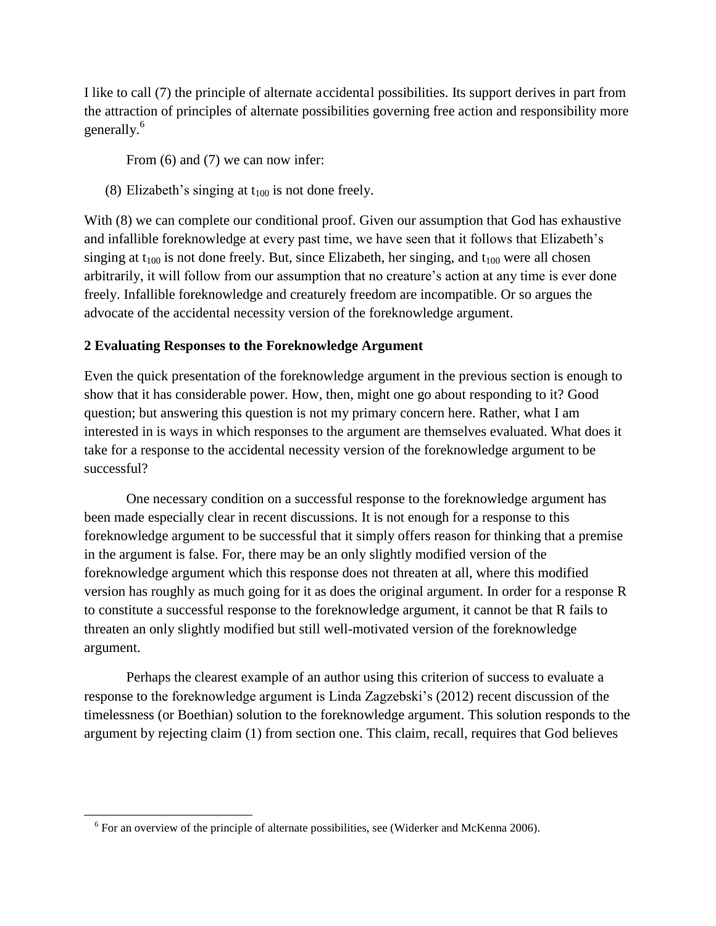I like to call (7) the principle of alternate accidental possibilities. Its support derives in part from the attraction of principles of alternate possibilities governing free action and responsibility more generally.<sup>6</sup>

From  $(6)$  and  $(7)$  we can now infer:

(8) Elizabeth's singing at  $t_{100}$  is not done freely.

With  $(8)$  we can complete our conditional proof. Given our assumption that God has exhaustive and infallible foreknowledge at every past time, we have seen that it follows that Elizabeth's singing at  $t_{100}$  is not done freely. But, since Elizabeth, her singing, and  $t_{100}$  were all chosen arbitrarily, it will follow from our assumption that no creature's action at any time is ever done freely. Infallible foreknowledge and creaturely freedom are incompatible. Or so argues the advocate of the accidental necessity version of the foreknowledge argument.

### **2 Evaluating Responses to the Foreknowledge Argument**

Even the quick presentation of the foreknowledge argument in the previous section is enough to show that it has considerable power. How, then, might one go about responding to it? Good question; but answering this question is not my primary concern here. Rather, what I am interested in is ways in which responses to the argument are themselves evaluated. What does it take for a response to the accidental necessity version of the foreknowledge argument to be successful?

 One necessary condition on a successful response to the foreknowledge argument has been made especially clear in recent discussions. It is not enough for a response to this foreknowledge argument to be successful that it simply offers reason for thinking that a premise in the argument is false. For, there may be an only slightly modified version of the foreknowledge argument which this response does not threaten at all, where this modified version has roughly as much going for it as does the original argument. In order for a response R to constitute a successful response to the foreknowledge argument, it cannot be that R fails to threaten an only slightly modified but still well-motivated version of the foreknowledge argument.

 Perhaps the clearest example of an author using this criterion of success to evaluate a response to the foreknowledge argument is Linda Zagzebski's (2012) recent discussion of the timelessness (or Boethian) solution to the foreknowledge argument. This solution responds to the argument by rejecting claim (1) from section one. This claim, recall, requires that God believes

 $\overline{a}$ 

 $6$  For an overview of the principle of alternate possibilities, see (Widerker and McKenna 2006).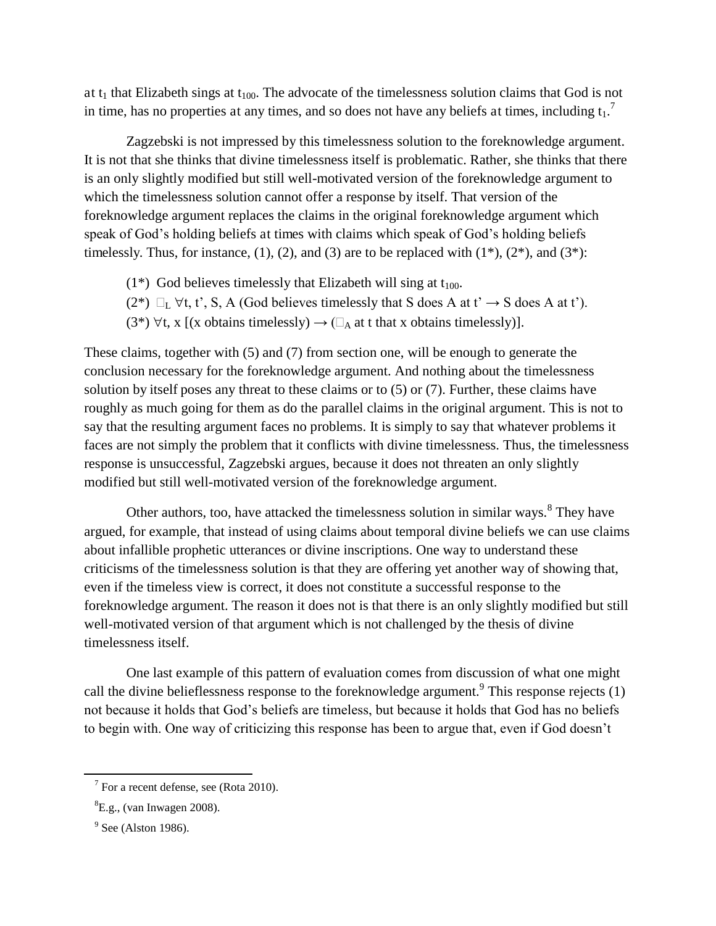at  $t_1$  that Elizabeth sings at  $t_{100}$ . The advocate of the timelessness solution claims that God is not in time, has no properties at any times, and so does not have any beliefs at times, including  $t_1$ .<sup>7</sup>

Zagzebski is not impressed by this timelessness solution to the foreknowledge argument. It is not that she thinks that divine timelessness itself is problematic. Rather, she thinks that there is an only slightly modified but still well-motivated version of the foreknowledge argument to which the timelessness solution cannot offer a response by itself. That version of the foreknowledge argument replaces the claims in the original foreknowledge argument which speak of God's holding beliefs at times with claims which speak of God's holding beliefs timelessly. Thus, for instance,  $(1)$ ,  $(2)$ , and  $(3)$  are to be replaced with  $(1^*)$ ,  $(2^*)$ , and  $(3^*)$ :

- (1\*) God believes timelessly that Elizabeth will sing at  $t_{100}$ .
- (2\*)  $\Box_L \forall t, t', S, A$  (God believes timelessly that S does A at t'  $\rightarrow$  S does A at t').
- (3<sup>\*</sup>)  $\forall$ t, x [(x obtains timelessly)  $\rightarrow$  ( $\Box$ <sub>A</sub> at t that x obtains timelessly)].

These claims, together with (5) and (7) from section one, will be enough to generate the conclusion necessary for the foreknowledge argument. And nothing about the timelessness solution by itself poses any threat to these claims or to (5) or (7). Further, these claims have roughly as much going for them as do the parallel claims in the original argument. This is not to say that the resulting argument faces no problems. It is simply to say that whatever problems it faces are not simply the problem that it conflicts with divine timelessness. Thus, the timelessness response is unsuccessful, Zagzebski argues, because it does not threaten an only slightly modified but still well-motivated version of the foreknowledge argument.

Other authors, too, have attacked the timelessness solution in similar ways.<sup>8</sup> They have argued, for example, that instead of using claims about temporal divine beliefs we can use claims about infallible prophetic utterances or divine inscriptions. One way to understand these criticisms of the timelessness solution is that they are offering yet another way of showing that, even if the timeless view is correct, it does not constitute a successful response to the foreknowledge argument. The reason it does not is that there is an only slightly modified but still well-motivated version of that argument which is not challenged by the thesis of divine timelessness itself.

 One last example of this pattern of evaluation comes from discussion of what one might call the divine belieflessness response to the foreknowledge argument. <sup>9</sup> This response rejects  $(1)$ not because it holds that God's beliefs are timeless, but because it holds that God has no beliefs to begin with. One way of criticizing this response has been to argue that, even if God doesn't

 $\overline{a}$ 

 $7$  For a recent defense, see (Rota 2010).

 ${}^{8}E.g.,$  (van Inwagen 2008).

 $9^9$  See (Alston 1986).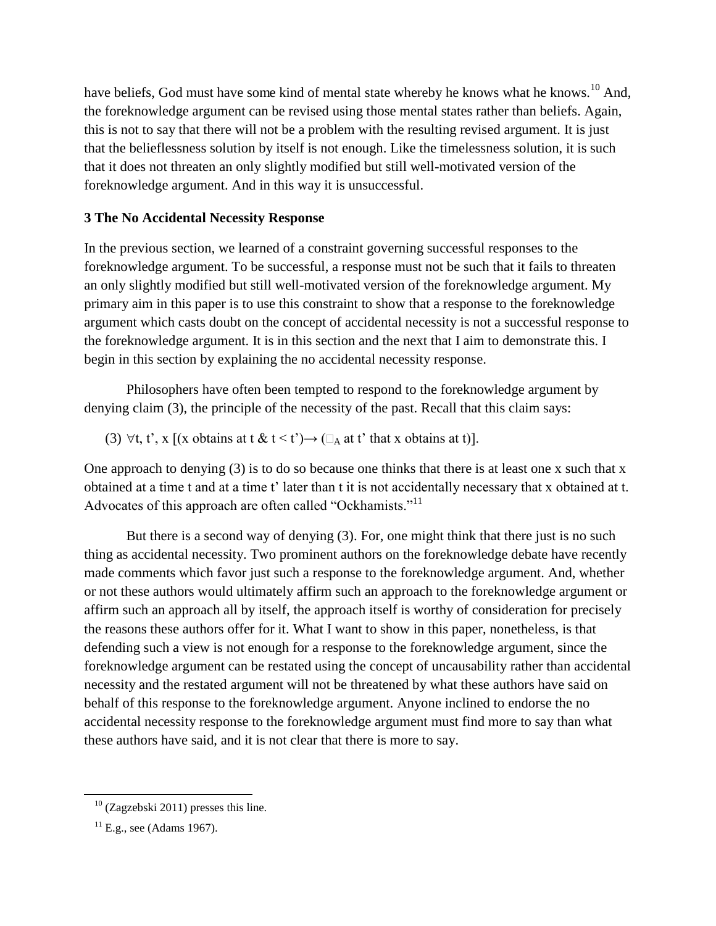have beliefs, God must have some kind of mental state whereby he knows what he knows.<sup>10</sup> And, the foreknowledge argument can be revised using those mental states rather than beliefs. Again, this is not to say that there will not be a problem with the resulting revised argument. It is just that the belieflessness solution by itself is not enough. Like the timelessness solution, it is such that it does not threaten an only slightly modified but still well-motivated version of the foreknowledge argument. And in this way it is unsuccessful.

# **3 The No Accidental Necessity Response**

In the previous section, we learned of a constraint governing successful responses to the foreknowledge argument. To be successful, a response must not be such that it fails to threaten an only slightly modified but still well-motivated version of the foreknowledge argument. My primary aim in this paper is to use this constraint to show that a response to the foreknowledge argument which casts doubt on the concept of accidental necessity is not a successful response to the foreknowledge argument. It is in this section and the next that I aim to demonstrate this. I begin in this section by explaining the no accidental necessity response.

 Philosophers have often been tempted to respond to the foreknowledge argument by denying claim (3), the principle of the necessity of the past. Recall that this claim says:

(3)  $\forall$ t, t', x [(x obtains at t & t < t')  $\rightarrow$  ( $\Box$  at t' that x obtains at t)].

One approach to denying (3) is to do so because one thinks that there is at least one x such that x obtained at a time t and at a time t' later than t it is not accidentally necessary that x obtained at t. Advocates of this approach are often called "Ockhamists."<sup>11</sup>

But there is a second way of denying (3). For, one might think that there just is no such thing as accidental necessity. Two prominent authors on the foreknowledge debate have recently made comments which favor just such a response to the foreknowledge argument. And, whether or not these authors would ultimately affirm such an approach to the foreknowledge argument or affirm such an approach all by itself, the approach itself is worthy of consideration for precisely the reasons these authors offer for it. What I want to show in this paper, nonetheless, is that defending such a view is not enough for a response to the foreknowledge argument, since the foreknowledge argument can be restated using the concept of uncausability rather than accidental necessity and the restated argument will not be threatened by what these authors have said on behalf of this response to the foreknowledge argument. Anyone inclined to endorse the no accidental necessity response to the foreknowledge argument must find more to say than what these authors have said, and it is not clear that there is more to say.

l

 $10$  (Zagzebski 2011) presses this line.

 $^{11}$  E.g., see (Adams 1967).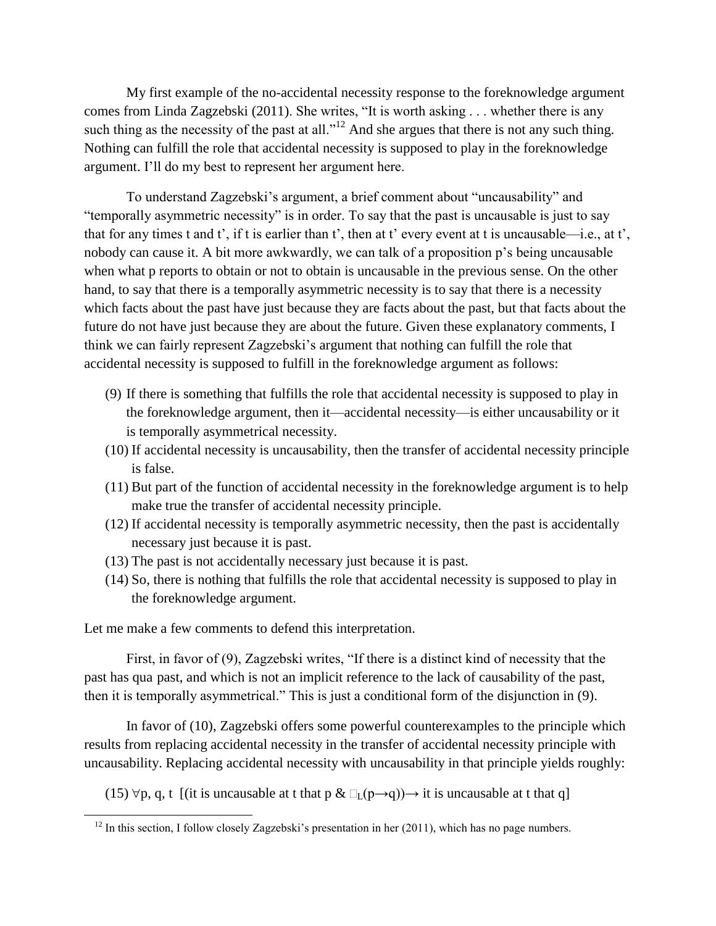My first example of the no-accidental necessity response to the foreknowledge argument comes from Linda Zagzebski (2011). She writes, "It is worth asking . . . whether there is any such thing as the necessity of the past at all."<sup>12</sup> And she argues that there is not any such thing. Nothing can fulfill the role that accidental necessity is supposed to play in the foreknowledge argument. I'll do my best to represent her argument here.

To understand Zagzebski's argument, a brief comment about "uncausability" and "temporally asymmetric necessity" is in order. To say that the past is uncausable is just to say that for any times t and t', if t is earlier than t', then at t' every event at t is uncausable—i.e., at t', nobody can cause it. A bit more awkwardly, we can talk of a proposition p's being uncausable when what p reports to obtain or not to obtain is uncausable in the previous sense. On the other hand, to say that there is a temporally asymmetric necessity is to say that there is a necessity which facts about the past have just because they are facts about the past, but that facts about the future do not have just because they are about the future. Given these explanatory comments, I think we can fairly represent Zagzebski's argument that nothing can fulfill the role that accidental necessity is supposed to fulfill in the foreknowledge argument as follows:

- (9) If there is something that fulfills the role that accidental necessity is supposed to play in the foreknowledge argument, then it—accidental necessity—is either uncausability or it is temporally asymmetrical necessity.
- (10) If accidental necessity is uncausability, then the transfer of accidental necessity principle is false.
- (11) But part of the function of accidental necessity in the foreknowledge argument is to help make true the transfer of accidental necessity principle.
- (12) If accidental necessity is temporally asymmetric necessity, then the past is accidentally necessary just because it is past.
- (13) The past is not accidentally necessary just because it is past.
- (14) So, there is nothing that fulfills the role that accidental necessity is supposed to play in the foreknowledge argument.

Let me make a few comments to defend this interpretation.

 $\overline{a}$ 

First, in favor of (9), Zagzebski writes, "If there is a distinct kind of necessity that the past has qua past, and which is not an implicit reference to the lack of causability of the past, then it is temporally asymmetrical." This is just a conditional form of the disjunction in (9).

 In favor of (10), Zagzebski offers some powerful counterexamples to the principle which results from replacing accidental necessity in the transfer of accidental necessity principle with uncausability. Replacing accidental necessity with uncausability in that principle yields roughly:

(15)  $\forall p, q, t$  [(it is uncausable at t that p &  $\Box_L(p \rightarrow q)$ ) it is uncausable at t that q]

 $12$  In this section, I follow closely Zagzebski's presentation in her (2011), which has no page numbers.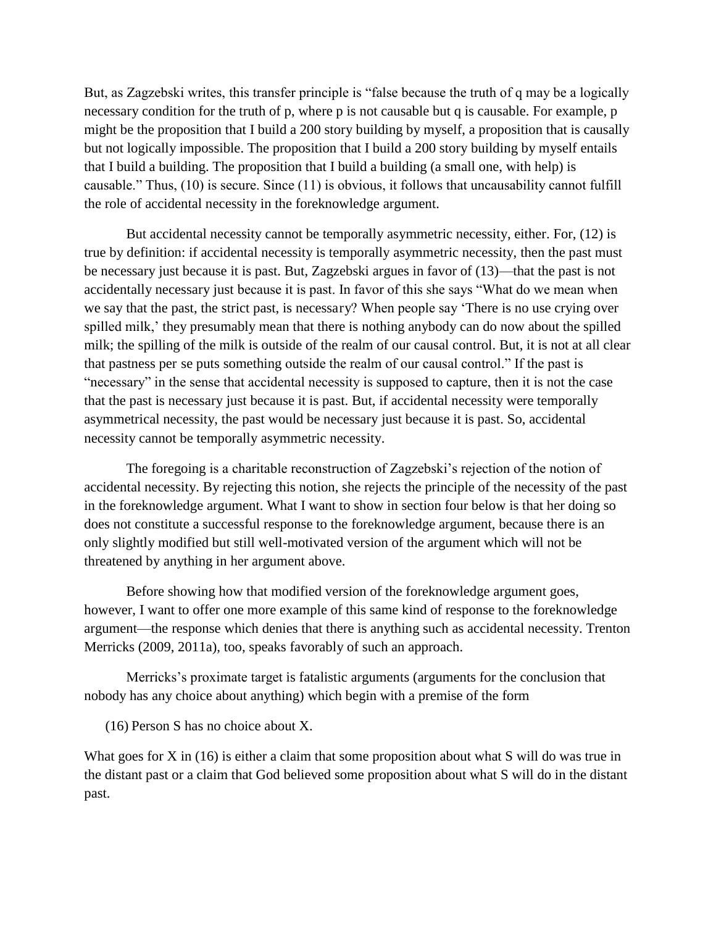But, as Zagzebski writes, this transfer principle is "false because the truth of q may be a logically necessary condition for the truth of p, where p is not causable but q is causable. For example, p might be the proposition that I build a 200 story building by myself, a proposition that is causally but not logically impossible. The proposition that I build a 200 story building by myself entails that I build a building. The proposition that I build a building (a small one, with help) is causable." Thus, (10) is secure. Since (11) is obvious, it follows that uncausability cannot fulfill the role of accidental necessity in the foreknowledge argument.

 But accidental necessity cannot be temporally asymmetric necessity, either. For, (12) is true by definition: if accidental necessity is temporally asymmetric necessity, then the past must be necessary just because it is past. But, Zagzebski argues in favor of (13)—that the past is not accidentally necessary just because it is past. In favor of this she says "What do we mean when we say that the past, the strict past, is necessary? When people say 'There is no use crying over spilled milk,' they presumably mean that there is nothing anybody can do now about the spilled milk; the spilling of the milk is outside of the realm of our causal control. But, it is not at all clear that pastness per se puts something outside the realm of our causal control." If the past is "necessary" in the sense that accidental necessity is supposed to capture, then it is not the case that the past is necessary just because it is past. But, if accidental necessity were temporally asymmetrical necessity, the past would be necessary just because it is past. So, accidental necessity cannot be temporally asymmetric necessity.

 The foregoing is a charitable reconstruction of Zagzebski's rejection of the notion of accidental necessity. By rejecting this notion, she rejects the principle of the necessity of the past in the foreknowledge argument. What I want to show in section four below is that her doing so does not constitute a successful response to the foreknowledge argument, because there is an only slightly modified but still well-motivated version of the argument which will not be threatened by anything in her argument above.

 Before showing how that modified version of the foreknowledge argument goes, however, I want to offer one more example of this same kind of response to the foreknowledge argument—the response which denies that there is anything such as accidental necessity. Trenton Merricks (2009, 2011a), too, speaks favorably of such an approach.

Merricks's proximate target is fatalistic arguments (arguments for the conclusion that nobody has any choice about anything) which begin with a premise of the form

(16) Person S has no choice about X.

What goes for X in (16) is either a claim that some proposition about what S will do was true in the distant past or a claim that God believed some proposition about what S will do in the distant past.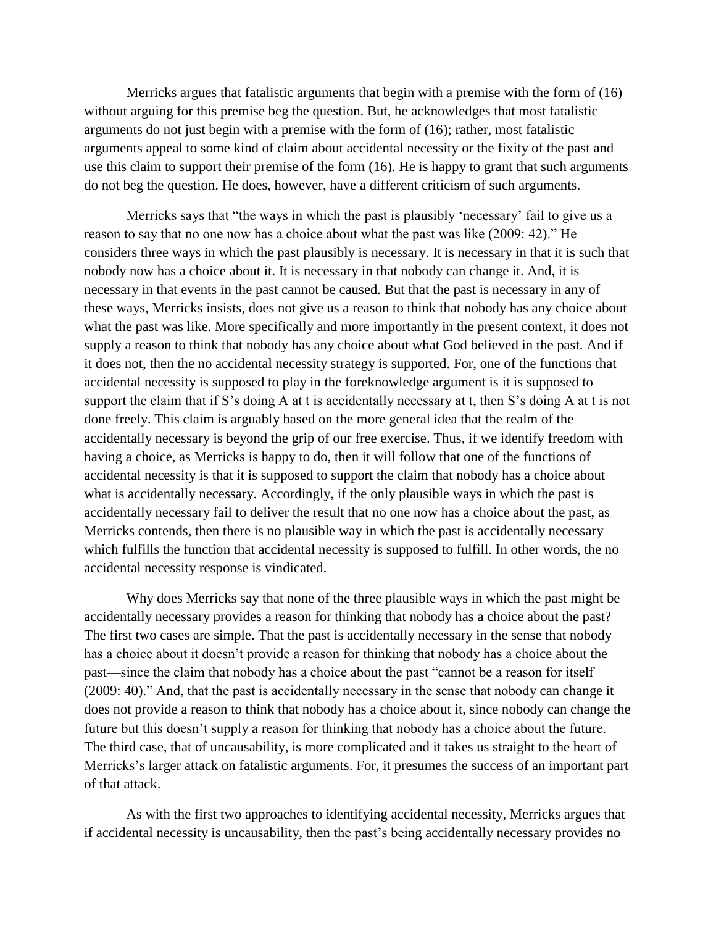Merricks argues that fatalistic arguments that begin with a premise with the form of (16) without arguing for this premise beg the question. But, he acknowledges that most fatalistic arguments do not just begin with a premise with the form of (16); rather, most fatalistic arguments appeal to some kind of claim about accidental necessity or the fixity of the past and use this claim to support their premise of the form (16). He is happy to grant that such arguments do not beg the question. He does, however, have a different criticism of such arguments.

Merricks says that "the ways in which the past is plausibly 'necessary' fail to give us a reason to say that no one now has a choice about what the past was like (2009: 42)." He considers three ways in which the past plausibly is necessary. It is necessary in that it is such that nobody now has a choice about it. It is necessary in that nobody can change it. And, it is necessary in that events in the past cannot be caused. But that the past is necessary in any of these ways, Merricks insists, does not give us a reason to think that nobody has any choice about what the past was like. More specifically and more importantly in the present context, it does not supply a reason to think that nobody has any choice about what God believed in the past. And if it does not, then the no accidental necessity strategy is supported. For, one of the functions that accidental necessity is supposed to play in the foreknowledge argument is it is supposed to support the claim that if S's doing A at t is accidentally necessary at t, then S's doing A at t is not done freely. This claim is arguably based on the more general idea that the realm of the accidentally necessary is beyond the grip of our free exercise. Thus, if we identify freedom with having a choice, as Merricks is happy to do, then it will follow that one of the functions of accidental necessity is that it is supposed to support the claim that nobody has a choice about what is accidentally necessary. Accordingly, if the only plausible ways in which the past is accidentally necessary fail to deliver the result that no one now has a choice about the past, as Merricks contends, then there is no plausible way in which the past is accidentally necessary which fulfills the function that accidental necessity is supposed to fulfill. In other words, the no accidental necessity response is vindicated.

 Why does Merricks say that none of the three plausible ways in which the past might be accidentally necessary provides a reason for thinking that nobody has a choice about the past? The first two cases are simple. That the past is accidentally necessary in the sense that nobody has a choice about it doesn't provide a reason for thinking that nobody has a choice about the past—since the claim that nobody has a choice about the past "cannot be a reason for itself (2009: 40)." And, that the past is accidentally necessary in the sense that nobody can change it does not provide a reason to think that nobody has a choice about it, since nobody can change the future but this doesn't supply a reason for thinking that nobody has a choice about the future. The third case, that of uncausability, is more complicated and it takes us straight to the heart of Merricks's larger attack on fatalistic arguments. For, it presumes the success of an important part of that attack.

 As with the first two approaches to identifying accidental necessity, Merricks argues that if accidental necessity is uncausability, then the past's being accidentally necessary provides no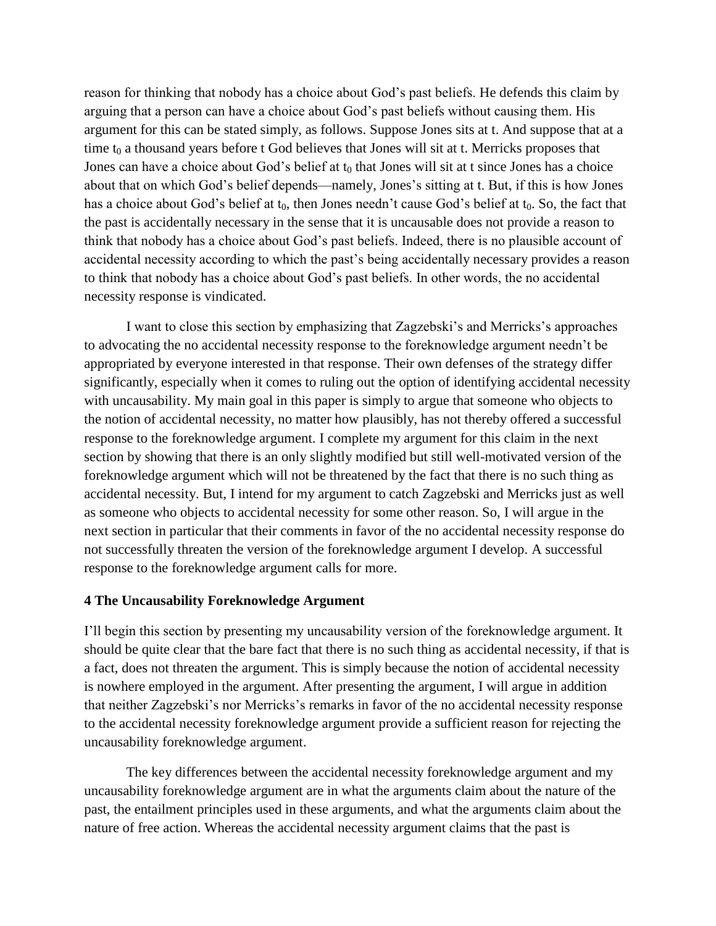reason for thinking that nobody has a choice about God's past beliefs. He defends this claim by arguing that a person can have a choice about God's past beliefs without causing them. His argument for this can be stated simply, as follows. Suppose Jones sits at t. And suppose that at a time  $t_0$  a thousand years before t God believes that Jones will sit at t. Merricks proposes that Jones can have a choice about God's belief at  $t_0$  that Jones will sit at t since Jones has a choice about that on which God's belief depends—namely, Jones's sitting at t. But, if this is how Jones has a choice about God's belief at  $t_0$ , then Jones needn't cause God's belief at  $t_0$ . So, the fact that the past is accidentally necessary in the sense that it is uncausable does not provide a reason to think that nobody has a choice about God's past beliefs. Indeed, there is no plausible account of accidental necessity according to which the past's being accidentally necessary provides a reason to think that nobody has a choice about God's past beliefs. In other words, the no accidental necessity response is vindicated.

I want to close this section by emphasizing that Zagzebski's and Merricks's approaches to advocating the no accidental necessity response to the foreknowledge argument needn't be appropriated by everyone interested in that response. Their own defenses of the strategy differ significantly, especially when it comes to ruling out the option of identifying accidental necessity with uncausability. My main goal in this paper is simply to argue that someone who objects to the notion of accidental necessity, no matter how plausibly, has not thereby offered a successful response to the foreknowledge argument. I complete my argument for this claim in the next section by showing that there is an only slightly modified but still well-motivated version of the foreknowledge argument which will not be threatened by the fact that there is no such thing as accidental necessity. But, I intend for my argument to catch Zagzebski and Merricks just as well as someone who objects to accidental necessity for some other reason. So, I will argue in the next section in particular that their comments in favor of the no accidental necessity response do not successfully threaten the version of the foreknowledge argument I develop. A successful response to the foreknowledge argument calls for more.

## **4 The Uncausability Foreknowledge Argument**

I'll begin this section by presenting my uncausability version of the foreknowledge argument. It should be quite clear that the bare fact that there is no such thing as accidental necessity, if that is a fact, does not threaten the argument. This is simply because the notion of accidental necessity is nowhere employed in the argument. After presenting the argument, I will argue in addition that neither Zagzebski's nor Merricks's remarks in favor of the no accidental necessity response to the accidental necessity foreknowledge argument provide a sufficient reason for rejecting the uncausability foreknowledge argument.

 The key differences between the accidental necessity foreknowledge argument and my uncausability foreknowledge argument are in what the arguments claim about the nature of the past, the entailment principles used in these arguments, and what the arguments claim about the nature of free action. Whereas the accidental necessity argument claims that the past is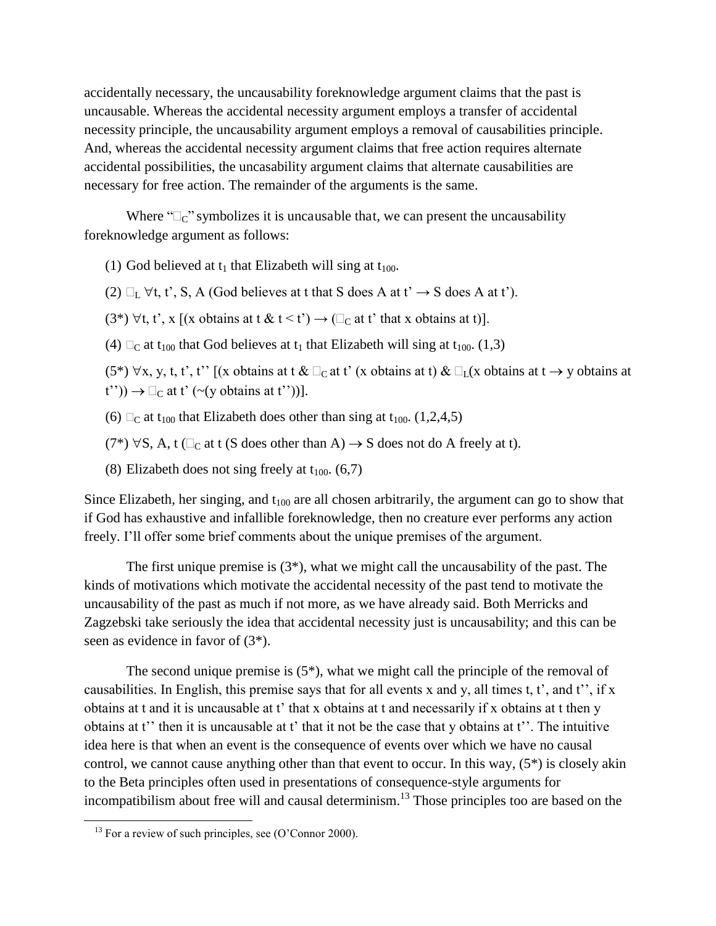accidentally necessary, the uncausability foreknowledge argument claims that the past is uncausable. Whereas the accidental necessity argument employs a transfer of accidental necessity principle, the uncausability argument employs a removal of causabilities principle. And, whereas the accidental necessity argument claims that free action requires alternate accidental possibilities, the uncasability argument claims that alternate causabilities are necessary for free action. The remainder of the arguments is the same.

Where " $\mathbb{C}_{\mathbb{C}}$ " symbolizes it is uncausable that, we can present the uncausability foreknowledge argument as follows:

- (1) God believed at  $t_1$  that Elizabeth will sing at  $t_{100}$ .
- (2)  $\Box_L \forall t, t', S, A$  (God believes at t that S does A at t'  $\rightarrow$  S does A at t').
- (3\*)  $\forall$ t, t', x [(x obtains at t & t < t')  $\rightarrow$  ( $\Box_C$  at t' that x obtains at t)].
- (4)  $\Box_C$  at t<sub>100</sub> that God believes at t<sub>1</sub> that Elizabeth will sing at t<sub>100</sub>. (1,3)
- $(5^*) \forall x, y, t, t', t'$  [(x obtains at t &  $\Box_C$  at t' (x obtains at t) &  $\Box_L(x)$  obtains at t  $\rightarrow$  y obtains at  $t'')$   $\rightarrow \Box_C$  at t' (~(y obtains at t''))].
- (6)  $\Box$  at t<sub>100</sub> that Elizabeth does other than sing at t<sub>100</sub>. (1,2,4,5)
- $(7^*) \forall S$ , A, t ( $\Box_C$  at t (S does other than A)  $\rightarrow$  S does not do A freely at t).
- (8) Elizabeth does not sing freely at  $t_{100}$ . (6,7)

Since Elizabeth, her singing, and  $t_{100}$  are all chosen arbitrarily, the argument can go to show that if God has exhaustive and infallible foreknowledge, then no creature ever performs any action freely. I'll offer some brief comments about the unique premises of the argument.

The first unique premise is  $(3^*)$ , what we might call the uncausability of the past. The kinds of motivations which motivate the accidental necessity of the past tend to motivate the uncausability of the past as much if not more, as we have already said. Both Merricks and Zagzebski take seriously the idea that accidental necessity just is uncausability; and this can be seen as evidence in favor of (3\*).

 The second unique premise is (5\*), what we might call the principle of the removal of causabilities. In English, this premise says that for all events x and y, all times t, t', and t'', if x obtains at t and it is uncausable at t' that x obtains at t and necessarily if x obtains at t then y obtains at t'' then it is uncausable at t' that it not be the case that y obtains at t''. The intuitive idea here is that when an event is the consequence of events over which we have no causal control, we cannot cause anything other than that event to occur. In this way, (5\*) is closely akin to the Beta principles often used in presentations of consequence-style arguments for incompatibilism about free will and causal determinism.<sup>13</sup> Those principles too are based on the

 $\overline{a}$ 

 $13$  For a review of such principles, see (O'Connor 2000).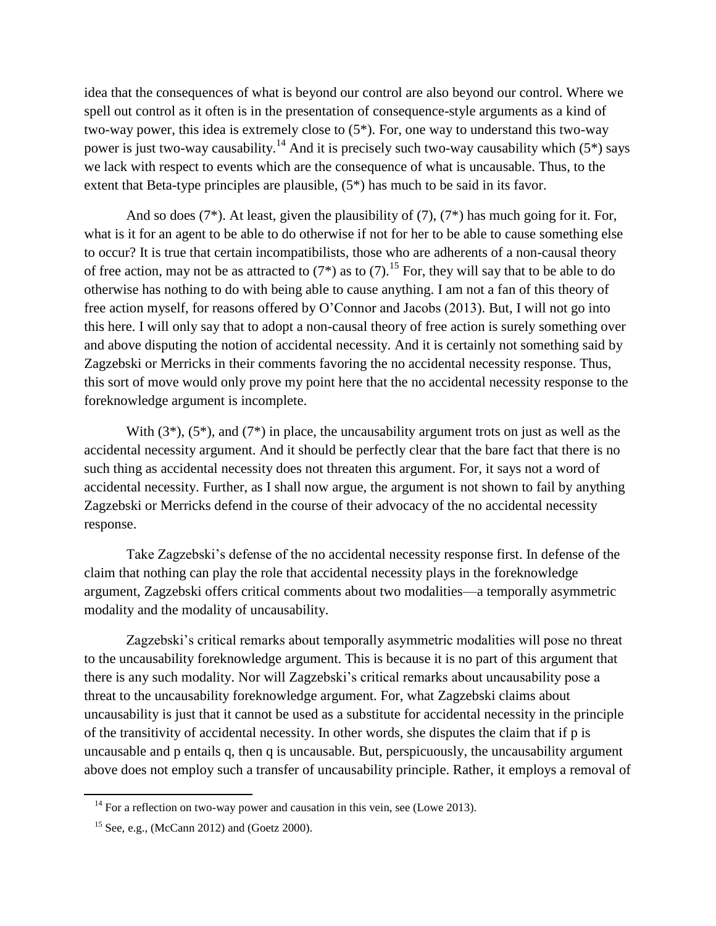idea that the consequences of what is beyond our control are also beyond our control. Where we spell out control as it often is in the presentation of consequence-style arguments as a kind of two-way power, this idea is extremely close to (5\*). For, one way to understand this two-way power is just two-way causability.<sup>14</sup> And it is precisely such two-way causability which  $(5^*)$  says we lack with respect to events which are the consequence of what is uncausable. Thus, to the extent that Beta-type principles are plausible, (5\*) has much to be said in its favor.

 And so does (7\*). At least, given the plausibility of (7), (7\*) has much going for it. For, what is it for an agent to be able to do otherwise if not for her to be able to cause something else to occur? It is true that certain incompatibilists, those who are adherents of a non-causal theory of free action, may not be as attracted to  $(7^*)$  as to  $(7)$ .<sup>15</sup> For, they will say that to be able to do otherwise has nothing to do with being able to cause anything. I am not a fan of this theory of free action myself, for reasons offered by O'Connor and Jacobs (2013). But, I will not go into this here. I will only say that to adopt a non-causal theory of free action is surely something over and above disputing the notion of accidental necessity. And it is certainly not something said by Zagzebski or Merricks in their comments favoring the no accidental necessity response. Thus, this sort of move would only prove my point here that the no accidental necessity response to the foreknowledge argument is incomplete.

With  $(3^*)$ ,  $(5^*)$ , and  $(7^*)$  in place, the uncausability argument trots on just as well as the accidental necessity argument. And it should be perfectly clear that the bare fact that there is no such thing as accidental necessity does not threaten this argument. For, it says not a word of accidental necessity. Further, as I shall now argue, the argument is not shown to fail by anything Zagzebski or Merricks defend in the course of their advocacy of the no accidental necessity response.

Take Zagzebski's defense of the no accidental necessity response first. In defense of the claim that nothing can play the role that accidental necessity plays in the foreknowledge argument, Zagzebski offers critical comments about two modalities—a temporally asymmetric modality and the modality of uncausability.

Zagzebski's critical remarks about temporally asymmetric modalities will pose no threat to the uncausability foreknowledge argument. This is because it is no part of this argument that there is any such modality. Nor will Zagzebski's critical remarks about uncausability pose a threat to the uncausability foreknowledge argument. For, what Zagzebski claims about uncausability is just that it cannot be used as a substitute for accidental necessity in the principle of the transitivity of accidental necessity. In other words, she disputes the claim that if p is uncausable and p entails q, then q is uncausable. But, perspicuously, the uncausability argument above does not employ such a transfer of uncausability principle. Rather, it employs a removal of

l

<sup>&</sup>lt;sup>14</sup> For a reflection on two-way power and causation in this vein, see (Lowe 2013).

<sup>&</sup>lt;sup>15</sup> See, e.g., (McCann 2012) and (Goetz 2000).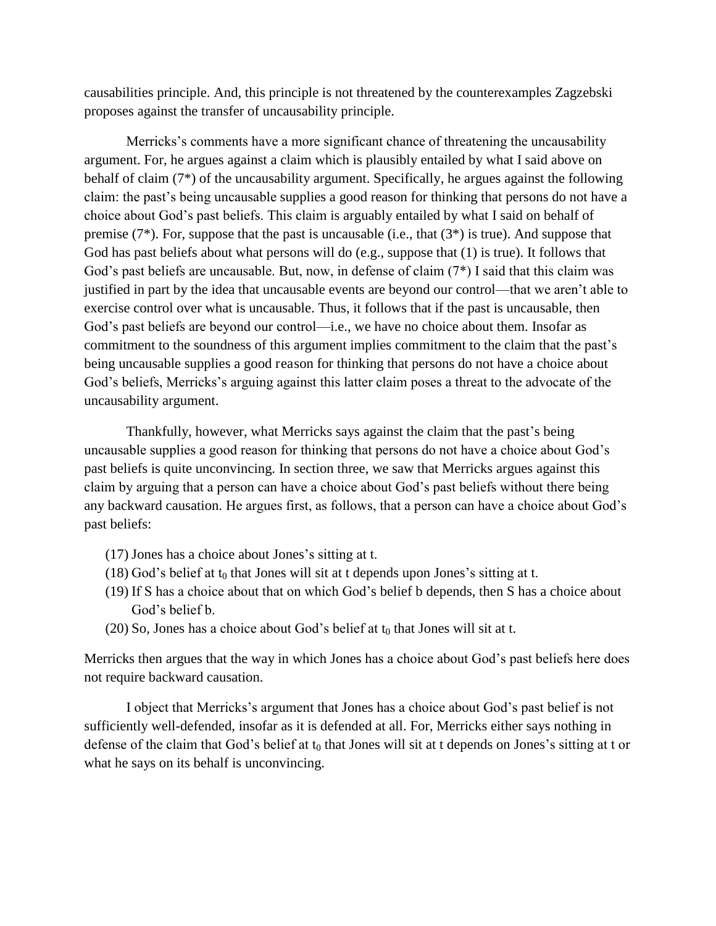causabilities principle. And, this principle is not threatened by the counterexamples Zagzebski proposes against the transfer of uncausability principle.

Merricks's comments have a more significant chance of threatening the uncausability argument. For, he argues against a claim which is plausibly entailed by what I said above on behalf of claim (7\*) of the uncausability argument. Specifically, he argues against the following claim: the past's being uncausable supplies a good reason for thinking that persons do not have a choice about God's past beliefs. This claim is arguably entailed by what I said on behalf of premise (7\*). For, suppose that the past is uncausable (i.e., that (3\*) is true). And suppose that God has past beliefs about what persons will do (e.g., suppose that (1) is true). It follows that God's past beliefs are uncausable. But, now, in defense of claim (7\*) I said that this claim was justified in part by the idea that uncausable events are beyond our control—that we aren't able to exercise control over what is uncausable. Thus, it follows that if the past is uncausable, then God's past beliefs are beyond our control—i.e., we have no choice about them. Insofar as commitment to the soundness of this argument implies commitment to the claim that the past's being uncausable supplies a good reason for thinking that persons do not have a choice about God's beliefs, Merricks's arguing against this latter claim poses a threat to the advocate of the uncausability argument.

 Thankfully, however, what Merricks says against the claim that the past's being uncausable supplies a good reason for thinking that persons do not have a choice about God's past beliefs is quite unconvincing. In section three, we saw that Merricks argues against this claim by arguing that a person can have a choice about God's past beliefs without there being any backward causation. He argues first, as follows, that a person can have a choice about God's past beliefs:

- (17) Jones has a choice about Jones's sitting at t.
- (18) God's belief at  $t_0$  that Jones will sit at t depends upon Jones's sitting at t.
- (19) If S has a choice about that on which God's belief b depends, then S has a choice about God's belief b.
- (20) So, Jones has a choice about God's belief at  $t_0$  that Jones will sit at t.

Merricks then argues that the way in which Jones has a choice about God's past beliefs here does not require backward causation.

I object that Merricks's argument that Jones has a choice about God's past belief is not sufficiently well-defended, insofar as it is defended at all. For, Merricks either says nothing in defense of the claim that God's belief at  $t_0$  that Jones will sit at t depends on Jones's sitting at t or what he says on its behalf is unconvincing.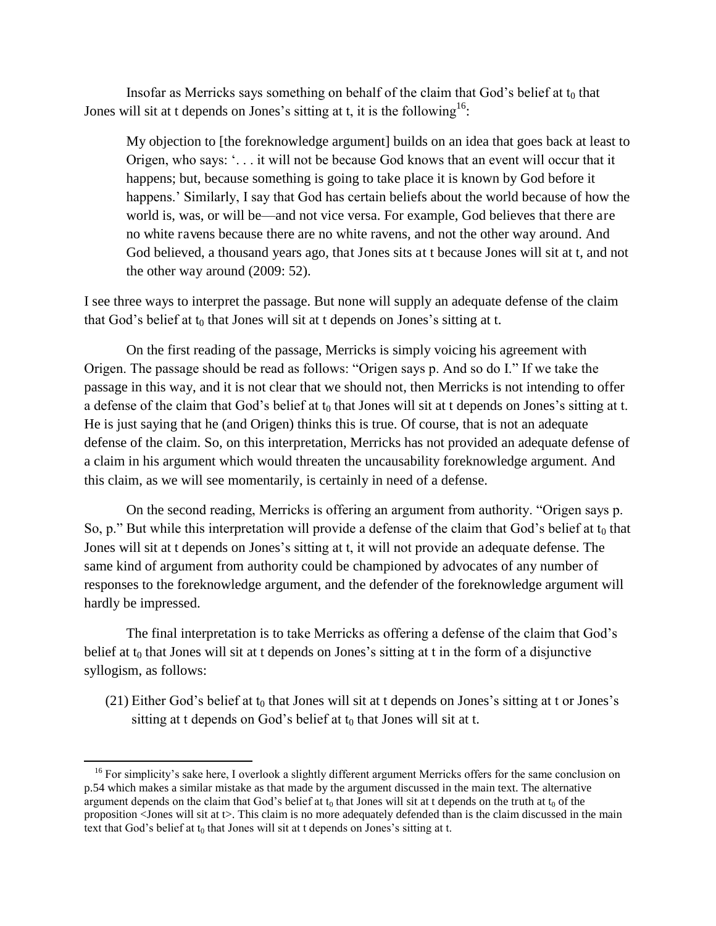Insofar as Merricks says something on behalf of the claim that God's belief at  $t_0$  that Jones will sit at t depends on Jones's sitting at t, it is the following<sup>16</sup>:

My objection to [the foreknowledge argument] builds on an idea that goes back at least to Origen, who says: '. . . it will not be because God knows that an event will occur that it happens; but, because something is going to take place it is known by God before it happens.' Similarly, I say that God has certain beliefs about the world because of how the world is, was, or will be—and not vice versa. For example, God believes that there are no white ravens because there are no white ravens, and not the other way around. And God believed, a thousand years ago, that Jones sits at t because Jones will sit at t, and not the other way around (2009: 52).

I see three ways to interpret the passage. But none will supply an adequate defense of the claim that God's belief at  $t_0$  that Jones will sit at t depends on Jones's sitting at t.

 On the first reading of the passage, Merricks is simply voicing his agreement with Origen. The passage should be read as follows: "Origen says p. And so do I." If we take the passage in this way, and it is not clear that we should not, then Merricks is not intending to offer a defense of the claim that God's belief at  $t_0$  that Jones will sit at t depends on Jones's sitting at t. He is just saying that he (and Origen) thinks this is true. Of course, that is not an adequate defense of the claim. So, on this interpretation, Merricks has not provided an adequate defense of a claim in his argument which would threaten the uncausability foreknowledge argument. And this claim, as we will see momentarily, is certainly in need of a defense.

 On the second reading, Merricks is offering an argument from authority. "Origen says p. So, p." But while this interpretation will provide a defense of the claim that God's belief at  $t_0$  that Jones will sit at t depends on Jones's sitting at t, it will not provide an adequate defense. The same kind of argument from authority could be championed by advocates of any number of responses to the foreknowledge argument, and the defender of the foreknowledge argument will hardly be impressed.

 The final interpretation is to take Merricks as offering a defense of the claim that God's belief at  $t_0$  that Jones will sit at t depends on Jones's sitting at t in the form of a disjunctive syllogism, as follows:

 $(21)$  Either God's belief at  $t_0$  that Jones will sit at t depends on Jones's sitting at t or Jones's sitting at t depends on God's belief at  $t_0$  that Jones will sit at t.

l

<sup>&</sup>lt;sup>16</sup> For simplicity's sake here, I overlook a slightly different argument Merricks offers for the same conclusion on p.54 which makes a similar mistake as that made by the argument discussed in the main text. The alternative argument depends on the claim that God's belief at  $t_0$  that Jones will sit at t depends on the truth at  $t_0$  of the proposition <Jones will sit at t>. This claim is no more adequately defended than is the claim discussed in the main text that God's belief at  $t_0$  that Jones will sit at t depends on Jones's sitting at t.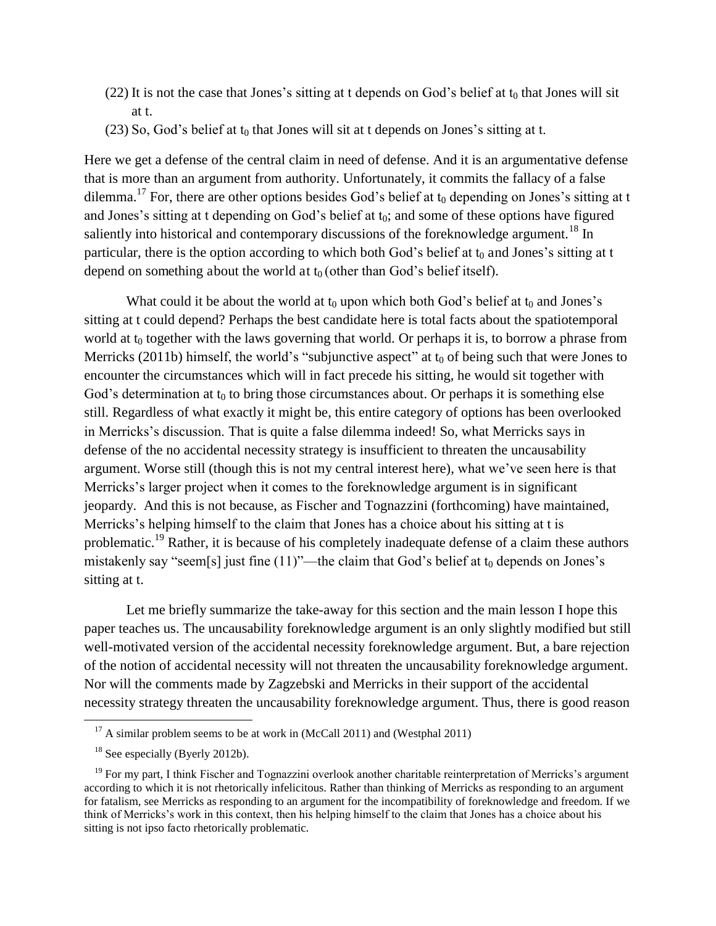- $(22)$  It is not the case that Jones's sitting at t depends on God's belief at  $t_0$  that Jones will sit at t.
- $(23)$  So, God's belief at  $t_0$  that Jones will sit at t depends on Jones's sitting at t.

Here we get a defense of the central claim in need of defense. And it is an argumentative defense that is more than an argument from authority. Unfortunately, it commits the fallacy of a false dilemma.<sup>17</sup> For, there are other options besides God's belief at  $t_0$  depending on Jones's sitting at t and Jones's sitting at t depending on God's belief at  $t_0$ ; and some of these options have figured saliently into historical and contemporary discussions of the foreknowledge argument.<sup>18</sup> In particular, there is the option according to which both God's belief at  $t_0$  and Jones's sitting at t depend on something about the world at  $t_0$  (other than God's belief itself).

What could it be about the world at  $t_0$  upon which both God's belief at  $t_0$  and Jones's sitting at t could depend? Perhaps the best candidate here is total facts about the spatiotemporal world at  $t_0$  together with the laws governing that world. Or perhaps it is, to borrow a phrase from Merricks (2011b) himself, the world's "subjunctive aspect" at  $t_0$  of being such that were Jones to encounter the circumstances which will in fact precede his sitting, he would sit together with God's determination at  $t_0$  to bring those circumstances about. Or perhaps it is something else still. Regardless of what exactly it might be, this entire category of options has been overlooked in Merricks's discussion. That is quite a false dilemma indeed! So, what Merricks says in defense of the no accidental necessity strategy is insufficient to threaten the uncausability argument. Worse still (though this is not my central interest here), what we've seen here is that Merricks's larger project when it comes to the foreknowledge argument is in significant jeopardy. And this is not because, as Fischer and Tognazzini (forthcoming) have maintained, Merricks's helping himself to the claim that Jones has a choice about his sitting at t is problematic.<sup>19</sup> Rather, it is because of his completely inadequate defense of a claim these authors mistakenly say "seem[s] just fine  $(11)$ "—the claim that God's belief at  $t_0$  depends on Jones's sitting at t.

 Let me briefly summarize the take-away for this section and the main lesson I hope this paper teaches us. The uncausability foreknowledge argument is an only slightly modified but still well-motivated version of the accidental necessity foreknowledge argument. But, a bare rejection of the notion of accidental necessity will not threaten the uncausability foreknowledge argument. Nor will the comments made by Zagzebski and Merricks in their support of the accidental necessity strategy threaten the uncausability foreknowledge argument. Thus, there is good reason  $\overline{a}$ 

 $17$  A similar problem seems to be at work in (McCall 2011) and (Westphal 2011)

<sup>&</sup>lt;sup>18</sup> See especially (Byerly 2012b).

 $19$  For my part, I think Fischer and Tognazzini overlook another charitable reinterpretation of Merricks's argument according to which it is not rhetorically infelicitous. Rather than thinking of Merricks as responding to an argument for fatalism, see Merricks as responding to an argument for the incompatibility of foreknowledge and freedom. If we think of Merricks's work in this context, then his helping himself to the claim that Jones has a choice about his sitting is not ipso facto rhetorically problematic.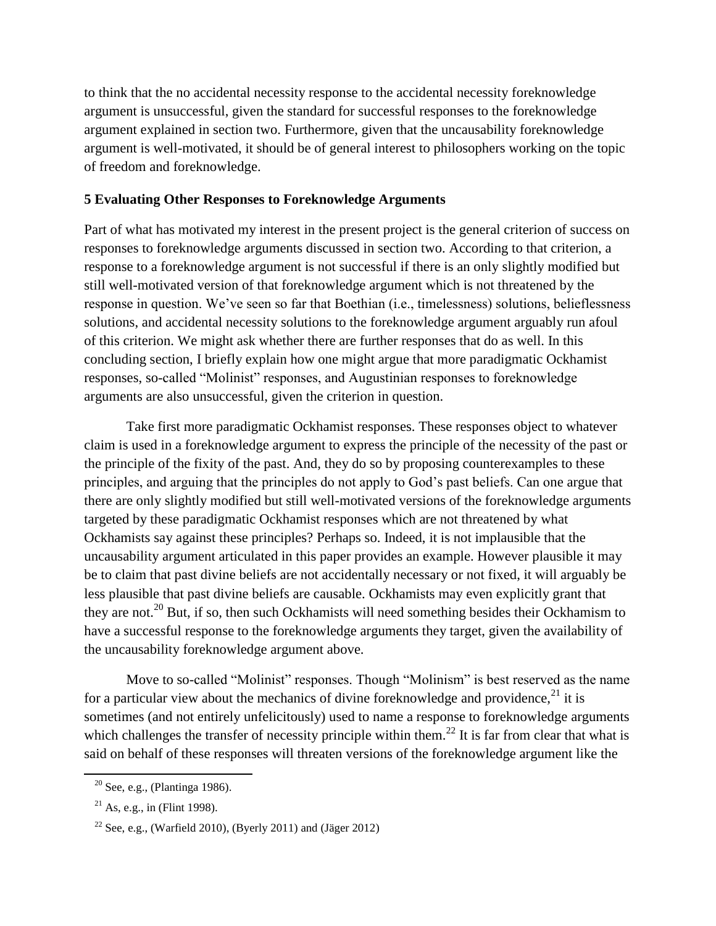to think that the no accidental necessity response to the accidental necessity foreknowledge argument is unsuccessful, given the standard for successful responses to the foreknowledge argument explained in section two. Furthermore, given that the uncausability foreknowledge argument is well-motivated, it should be of general interest to philosophers working on the topic of freedom and foreknowledge.

# **5 Evaluating Other Responses to Foreknowledge Arguments**

Part of what has motivated my interest in the present project is the general criterion of success on responses to foreknowledge arguments discussed in section two. According to that criterion, a response to a foreknowledge argument is not successful if there is an only slightly modified but still well-motivated version of that foreknowledge argument which is not threatened by the response in question. We've seen so far that Boethian (i.e., timelessness) solutions, belieflessness solutions, and accidental necessity solutions to the foreknowledge argument arguably run afoul of this criterion. We might ask whether there are further responses that do as well. In this concluding section, I briefly explain how one might argue that more paradigmatic Ockhamist responses, so-called "Molinist" responses, and Augustinian responses to foreknowledge arguments are also unsuccessful, given the criterion in question.

 Take first more paradigmatic Ockhamist responses. These responses object to whatever claim is used in a foreknowledge argument to express the principle of the necessity of the past or the principle of the fixity of the past. And, they do so by proposing counterexamples to these principles, and arguing that the principles do not apply to God's past beliefs. Can one argue that there are only slightly modified but still well-motivated versions of the foreknowledge arguments targeted by these paradigmatic Ockhamist responses which are not threatened by what Ockhamists say against these principles? Perhaps so. Indeed, it is not implausible that the uncausability argument articulated in this paper provides an example. However plausible it may be to claim that past divine beliefs are not accidentally necessary or not fixed, it will arguably be less plausible that past divine beliefs are causable. Ockhamists may even explicitly grant that they are not.<sup>20</sup> But, if so, then such Ockhamists will need something besides their Ockhamism to have a successful response to the foreknowledge arguments they target, given the availability of the uncausability foreknowledge argument above.

 Move to so-called "Molinist" responses. Though "Molinism" is best reserved as the name for a particular view about the mechanics of divine foreknowledge and providence,  $21$  it is sometimes (and not entirely unfelicitously) used to name a response to foreknowledge arguments which challenges the transfer of necessity principle within them.<sup>22</sup> It is far from clear that what is said on behalf of these responses will threaten versions of the foreknowledge argument like the

 $\overline{a}$ 

 $20$  See, e.g., (Plantinga 1986).

 $21$  As, e.g., in (Flint 1998).

<sup>&</sup>lt;sup>22</sup> See, e.g., (Warfield 2010), (Byerly 2011) and (Jäger 2012)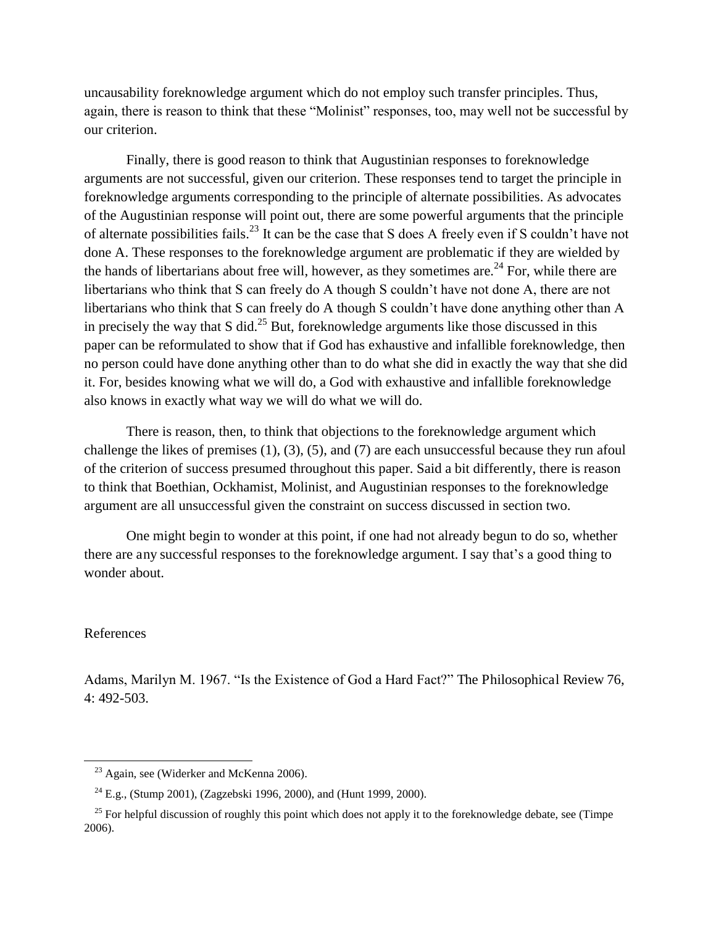uncausability foreknowledge argument which do not employ such transfer principles. Thus, again, there is reason to think that these "Molinist" responses, too, may well not be successful by our criterion.

 Finally, there is good reason to think that Augustinian responses to foreknowledge arguments are not successful, given our criterion. These responses tend to target the principle in foreknowledge arguments corresponding to the principle of alternate possibilities. As advocates of the Augustinian response will point out, there are some powerful arguments that the principle of alternate possibilities fails.<sup>23</sup> It can be the case that S does A freely even if S couldn't have not done A. These responses to the foreknowledge argument are problematic if they are wielded by the hands of libertarians about free will, however, as they sometimes are.<sup>24</sup> For, while there are libertarians who think that S can freely do A though S couldn't have not done A, there are not libertarians who think that S can freely do A though S couldn't have done anything other than A in precisely the way that S did.<sup>25</sup> But, foreknowledge arguments like those discussed in this paper can be reformulated to show that if God has exhaustive and infallible foreknowledge, then no person could have done anything other than to do what she did in exactly the way that she did it. For, besides knowing what we will do, a God with exhaustive and infallible foreknowledge also knows in exactly what way we will do what we will do.

 There is reason, then, to think that objections to the foreknowledge argument which challenge the likes of premises (1), (3), (5), and (7) are each unsuccessful because they run afoul of the criterion of success presumed throughout this paper. Said a bit differently, there is reason to think that Boethian, Ockhamist, Molinist, and Augustinian responses to the foreknowledge argument are all unsuccessful given the constraint on success discussed in section two.

One might begin to wonder at this point, if one had not already begun to do so, whether there are any successful responses to the foreknowledge argument. I say that's a good thing to wonder about.

### References

 $\overline{a}$ 

Adams, Marilyn M. 1967. "Is the Existence of God a Hard Fact?" The Philosophical Review 76, 4: 492-503.

<sup>23</sup> Again, see (Widerker and McKenna 2006).

<sup>&</sup>lt;sup>24</sup> E.g., (Stump 2001), (Zagzebski 1996, 2000), and (Hunt 1999, 2000).

 $^{25}$  For helpful discussion of roughly this point which does not apply it to the foreknowledge debate, see (Timpe) 2006).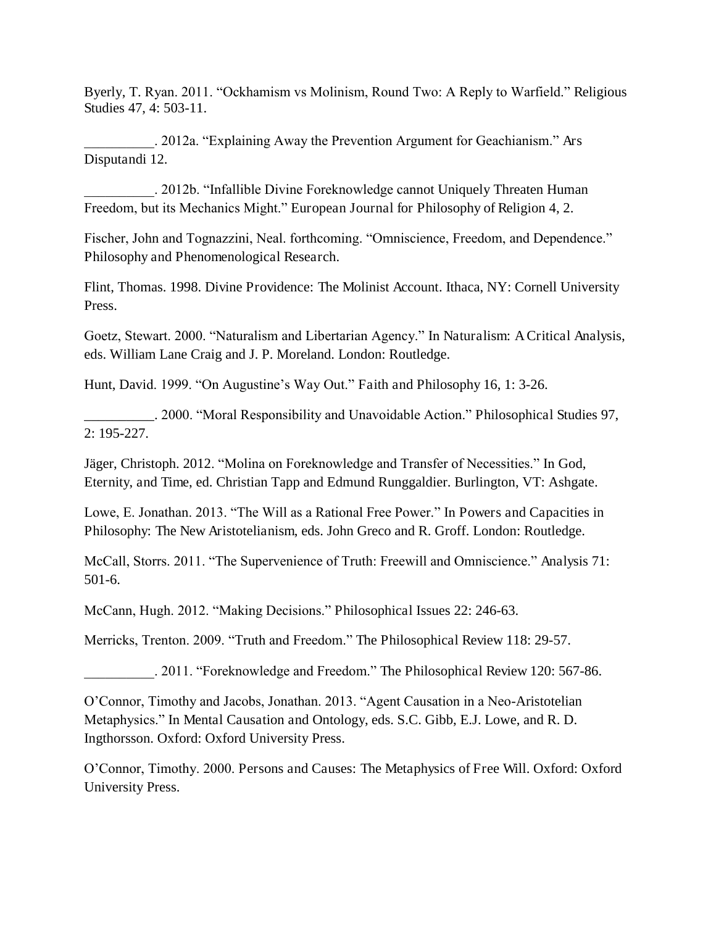Byerly, T. Ryan. 2011. "Ockhamism vs Molinism, Round Two: A Reply to Warfield." Religious Studies 47, 4: 503-11.

\_\_\_\_\_\_\_\_\_\_. 2012a. "Explaining Away the Prevention Argument for Geachianism." Ars Disputandi 12.

\_\_\_\_\_\_\_\_\_\_. 2012b. "Infallible Divine Foreknowledge cannot Uniquely Threaten Human Freedom, but its Mechanics Might." European Journal for Philosophy of Religion 4, 2.

Fischer, John and Tognazzini, Neal. forthcoming. "Omniscience, Freedom, and Dependence." Philosophy and Phenomenological Research.

Flint, Thomas. 1998. Divine Providence: The Molinist Account. Ithaca, NY: Cornell University Press.

Goetz, Stewart. 2000. "Naturalism and Libertarian Agency." In Naturalism: A Critical Analysis, eds. William Lane Craig and J. P. Moreland. London: Routledge.

Hunt, David. 1999. "On Augustine's Way Out." Faith and Philosophy 16, 1: 3-26.

\_\_\_\_\_\_\_\_\_\_. 2000. "Moral Responsibility and Unavoidable Action." Philosophical Studies 97, 2: 195-227.

Jäger, Christoph. 2012. "Molina on Foreknowledge and Transfer of Necessities." In God, Eternity, and Time, ed. Christian Tapp and Edmund Runggaldier. Burlington, VT: Ashgate.

Lowe, E. Jonathan. 2013. "The Will as a Rational Free Power." In Powers and Capacities in Philosophy: The New Aristotelianism, eds. John Greco and R. Groff. London: Routledge.

McCall, Storrs. 2011. "The Supervenience of Truth: Freewill and Omniscience." Analysis 71: 501-6.

McCann, Hugh. 2012. "Making Decisions." Philosophical Issues 22: 246-63.

Merricks, Trenton. 2009. "Truth and Freedom." The Philosophical Review 118: 29-57.

\_\_\_\_\_\_\_\_\_\_. 2011. "Foreknowledge and Freedom." The Philosophical Review 120: 567-86.

O'Connor, Timothy and Jacobs, Jonathan. 2013. "Agent Causation in a Neo-Aristotelian Metaphysics." In Mental Causation and Ontology, eds. S.C. Gibb, E.J. Lowe, and R. D. Ingthorsson. Oxford: Oxford University Press.

O'Connor, Timothy. 2000. Persons and Causes: The Metaphysics of Free Will. Oxford: Oxford University Press.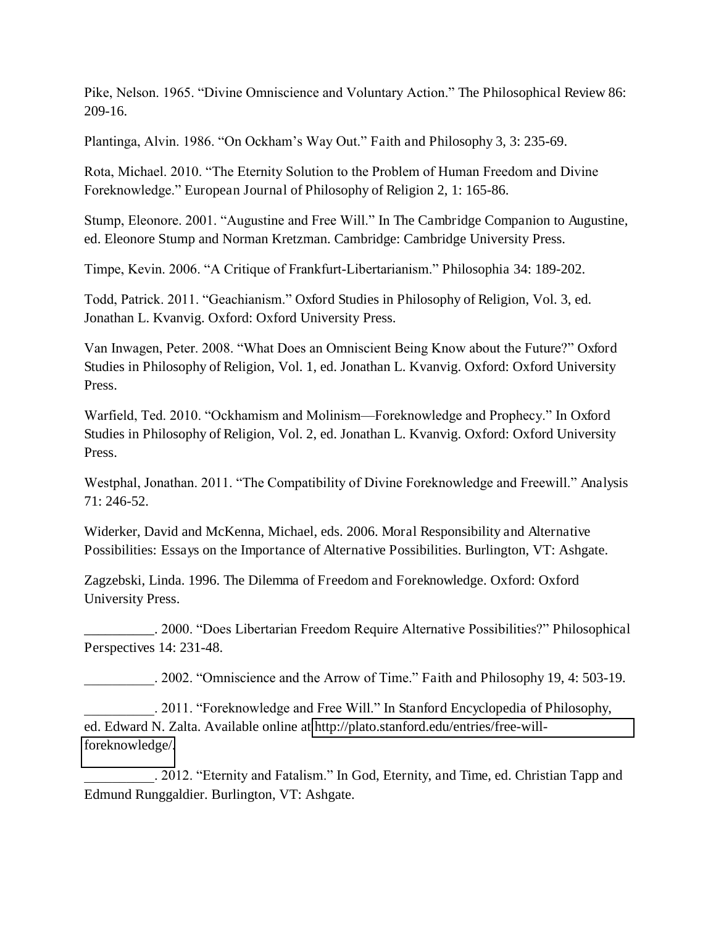Pike, Nelson. 1965. "Divine Omniscience and Voluntary Action." The Philosophical Review 86: 209-16.

Plantinga, Alvin. 1986. "On Ockham's Way Out." Faith and Philosophy 3, 3: 235-69.

Rota, Michael. 2010. "The Eternity Solution to the Problem of Human Freedom and Divine Foreknowledge." European Journal of Philosophy of Religion 2, 1: 165-86.

Stump, Eleonore. 2001. "Augustine and Free Will." In The Cambridge Companion to Augustine, ed. Eleonore Stump and Norman Kretzman. Cambridge: Cambridge University Press.

Timpe, Kevin. 2006. "A Critique of Frankfurt-Libertarianism." Philosophia 34: 189-202.

Todd, Patrick. 2011. "Geachianism." Oxford Studies in Philosophy of Religion, Vol. 3, ed. Jonathan L. Kvanvig. Oxford: Oxford University Press.

Van Inwagen, Peter. 2008. "What Does an Omniscient Being Know about the Future?" Oxford Studies in Philosophy of Religion, Vol. 1, ed. Jonathan L. Kvanvig. Oxford: Oxford University Press.

Warfield, Ted. 2010. "Ockhamism and Molinism—Foreknowledge and Prophecy." In Oxford Studies in Philosophy of Religion, Vol. 2, ed. Jonathan L. Kvanvig. Oxford: Oxford University Press.

Westphal, Jonathan. 2011. "The Compatibility of Divine Foreknowledge and Freewill." Analysis 71: 246-52.

Widerker, David and McKenna, Michael, eds. 2006. Moral Responsibility and Alternative Possibilities: Essays on the Importance of Alternative Possibilities. Burlington, VT: Ashgate.

Zagzebski, Linda. 1996. The Dilemma of Freedom and Foreknowledge. Oxford: Oxford University Press.

\_\_\_\_\_\_\_\_\_\_. 2000. "Does Libertarian Freedom Require Alternative Possibilities?" Philosophical Perspectives 14: 231-48.

\_\_\_\_\_\_\_\_\_\_. 2002. "Omniscience and the Arrow of Time." Faith and Philosophy 19, 4: 503-19.

. 2011. "Foreknowledge and Free Will." In Stanford Encyclopedia of Philosophy, ed. Edward N. Zalta. Available online at [http://plato.stanford.edu/entries/free-will](http://plato.stanford.edu/entries/free-will-foreknowledge/)[foreknowledge/.](http://plato.stanford.edu/entries/free-will-foreknowledge/)

\_\_\_\_\_\_\_\_\_\_. 2012. "Eternity and Fatalism." In God, Eternity, and Time, ed. Christian Tapp and Edmund Runggaldier. Burlington, VT: Ashgate.